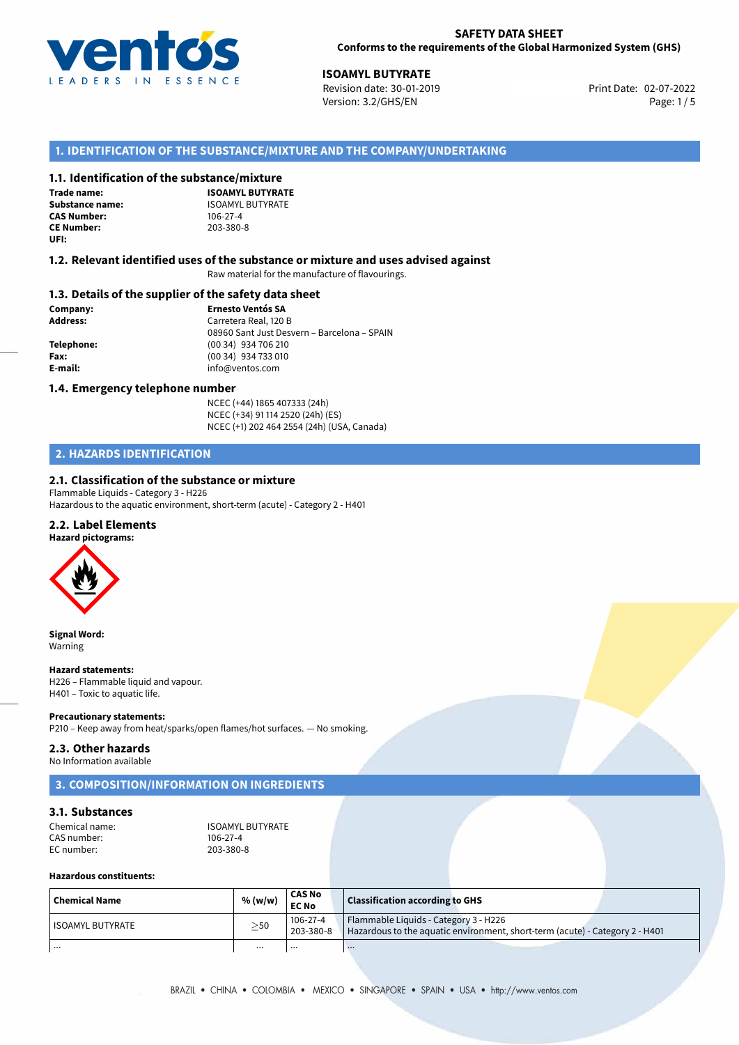

02-07-2022 **ISOAMYL BUTYRATE** Revision date: 30-01-2019 Print Date: Version: 3.2/GHS/EN Page: 1/5

## **1. IDENTIFICATION OF THE SUBSTANCE/MIXTURE AND THE COMPANY/UNDERTAKING**

#### **1.1. Identification of the substance/mixture**

**Trade name: CAS Number: CE Number:** 203-380-8 **UFI:**

**ISOAMYL BUTYRATE Substance name:** ISOAMYL BUTYRATE<br> **CAS Number:** 106-27-4

#### **1.2. Relevant identified uses of the substance or mixture and uses advised against**

Raw material for the manufacture of flavourings.

#### **1.3. Details of the supplier of the safety data sheet**

**Company: Ernesto Ventós SA Address:** Carretera Real, 120 B 08960 Sant Just Desvern – Barcelona – SPAIN **Telephone:** (00 34) 934 706 210 **Fax:** (00 34) 934 733 010 **E-mail:** info@ventos.com

#### **1.4. Emergency telephone number**

NCEC (+44) 1865 407333 (24h) NCEC (+34) 91 114 2520 (24h) (ES) NCEC (+1) 202 464 2554 (24h) (USA, Canada)

## **2. HAZARDS IDENTIFICATION**

## **2.1. Classification of the substance or mixture**

Flammable Liquids - Category 3 - H226 Hazardous to the aquatic environment, short-term (acute) - Category 2 - H401

### **2.2. Label Elements**



**Signal Word:** Warning

#### **Hazard statements:**

H226 – Flammable liquid and vapour. H401 – Toxic to aquatic life.

#### **Precautionary statements:**

P210 – Keep away from heat/sparks/open flames/hot surfaces. — No smoking.

## **2.3. Other hazards**

No Information available

## **3. COMPOSITION/INFORMATION ON INGREDIENTS**

## **3.1. Substances**

Chemical name:<br>
CAS number: ISOAMYL BUTYRATE CAS number: 106-27-4<br>EC number: 203-380-8 EC number:

## **Hazardous constituents:**

| Chemical Name      | % (w/w)   | <b>CAS No</b><br><b>EC No</b> | <b>Classification according to GHS</b>                                                                                |
|--------------------|-----------|-------------------------------|-----------------------------------------------------------------------------------------------------------------------|
| l ISOAMYL BUTYRATE | $\geq$ 50 | 106-27-4<br>203-380-8         | Flammable Liquids - Category 3 - H226<br>Hazardous to the aquatic environment, short-term (acute) - Category 2 - H401 |
| .                  | $\cdots$  | $\cdots$                      | $\cdots$                                                                                                              |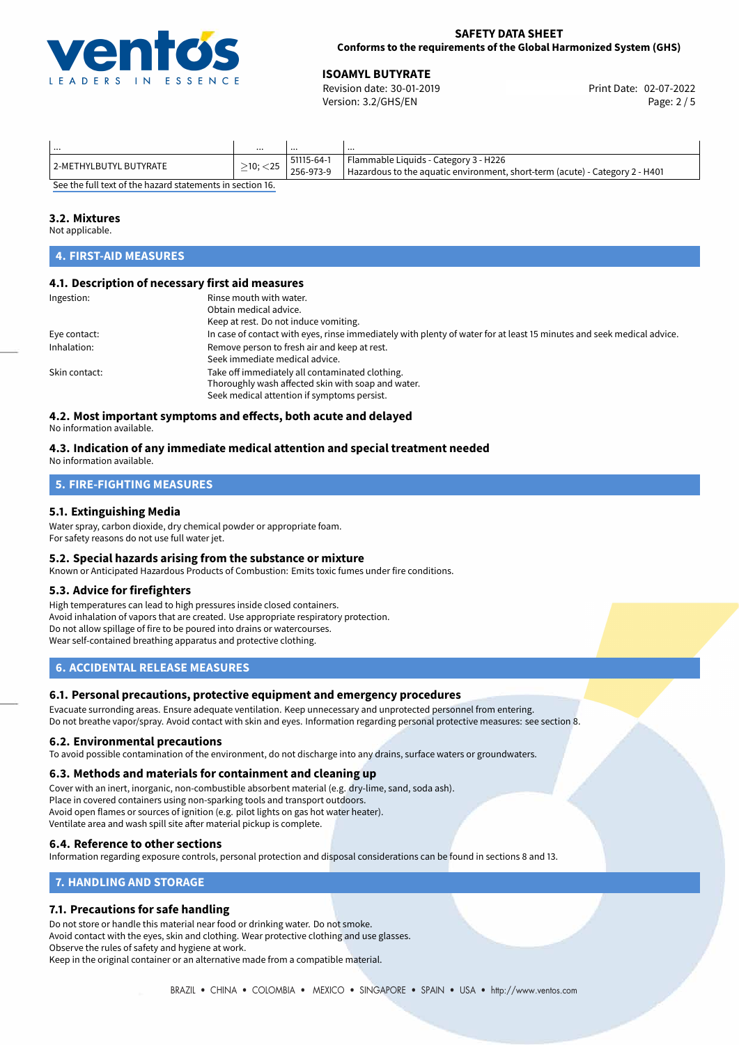

#### **SAFETY DATA SHEET Conforms to the requirements of the Global Harmonized System (GHS)**

02-07-2022 **ISOAMYL BUTYRATE** Revision date: 30-01-2019 Print Date: Version: 3.2/GHS/EN Page: 2 / 5

| .                                                                                                   |                |            | $\cdots$                                                                     |  |
|-----------------------------------------------------------------------------------------------------|----------------|------------|------------------------------------------------------------------------------|--|
| 2-METHYLBUTYL BUTYRATE                                                                              | $>10$ ; $<$ 25 | 51115-64-1 | Flammable Liquids - Category 3 - H226                                        |  |
|                                                                                                     |                | 256-973-9  | Hazardous to the aquatic environment, short-term (acute) - Category 2 - H401 |  |
| $\epsilon$ , and the field are a refinite the second exchange contract the constraint of $\epsilon$ |                |            |                                                                              |  |

[See the full text of the hazard statements in section 16.](#page-4-0)

#### **3.2. Mixtures**

Not applicable.

# **4. FIRST-AID MEASURES**

#### **4.1. Description of necessary first aid measures**

| Ingestion:    | Rinse mouth with water.                                                                                               |  |  |  |
|---------------|-----------------------------------------------------------------------------------------------------------------------|--|--|--|
|               | Obtain medical advice.                                                                                                |  |  |  |
|               | Keep at rest. Do not induce vomiting.                                                                                 |  |  |  |
| Eye contact:  | In case of contact with eyes, rinse immediately with plenty of water for at least 15 minutes and seek medical advice. |  |  |  |
| Inhalation:   | Remove person to fresh air and keep at rest.                                                                          |  |  |  |
|               | Seek immediate medical advice.                                                                                        |  |  |  |
| Skin contact: | Take off immediately all contaminated clothing.                                                                       |  |  |  |
|               | Thoroughly wash affected skin with soap and water.                                                                    |  |  |  |
|               | Seek medical attention if symptoms persist.                                                                           |  |  |  |
|               |                                                                                                                       |  |  |  |

# **4.2. Most important symptoms and effects, both acute and delayed**

No information available.

## **4.3. Indication of any immediate medical attention and special treatment needed**

No information available.

## **5. FIRE-FIGHTING MEASURES**

### **5.1. Extinguishing Media**

Water spray, carbon dioxide, dry chemical powder or appropriate foam. For safety reasons do not use full water jet.

#### **5.2. Special hazards arising from the substance or mixture**

Known or Anticipated Hazardous Products of Combustion: Emits toxic fumes under fire conditions.

### **5.3. Advice for firefighters**

High temperatures can lead to high pressures inside closed containers. Avoid inhalation of vapors that are created. Use appropriate respiratory protection. Do not allow spillage of fire to be poured into drains or watercourses. Wear self-contained breathing apparatus and protective clothing.

## **6. ACCIDENTAL RELEASE MEASURES**

### **6.1. Personal precautions, protective equipment and emergency procedures**

Evacuate surronding areas. Ensure adequate ventilation. Keep unnecessary and unprotected personnel from entering. Do not breathe vapor/spray. Avoid contact with skin and eyes. Information regarding personal protective measures: see section 8.

#### **6.2. Environmental precautions**

To avoid possible contamination of the environment, do not discharge into any drains, surface waters or groundwaters.

### **6.3. Methods and materials for containment and cleaning up**

Cover with an inert, inorganic, non-combustible absorbent material (e.g. dry-lime, sand, soda ash). Place in covered containers using non-sparking tools and transport outdoors. Avoid open flames or sources of ignition (e.g. pilot lights on gas hot water heater). Ventilate area and wash spill site after material pickup is complete.

### **6.4. Reference to other sections**

Information regarding exposure controls, personal protection and disposal considerations can be found in sections 8 and 13.

## **7. HANDLING AND STORAGE**

## **7.1. Precautions for safe handling**

Do not store or handle this material near food or drinking water. Do not smoke. Avoid contact with the eyes, skin and clothing. Wear protective clothing and use glasses. Observe the rules of safety and hygiene at work. Keep in the original container or an alternative made from a compatible material.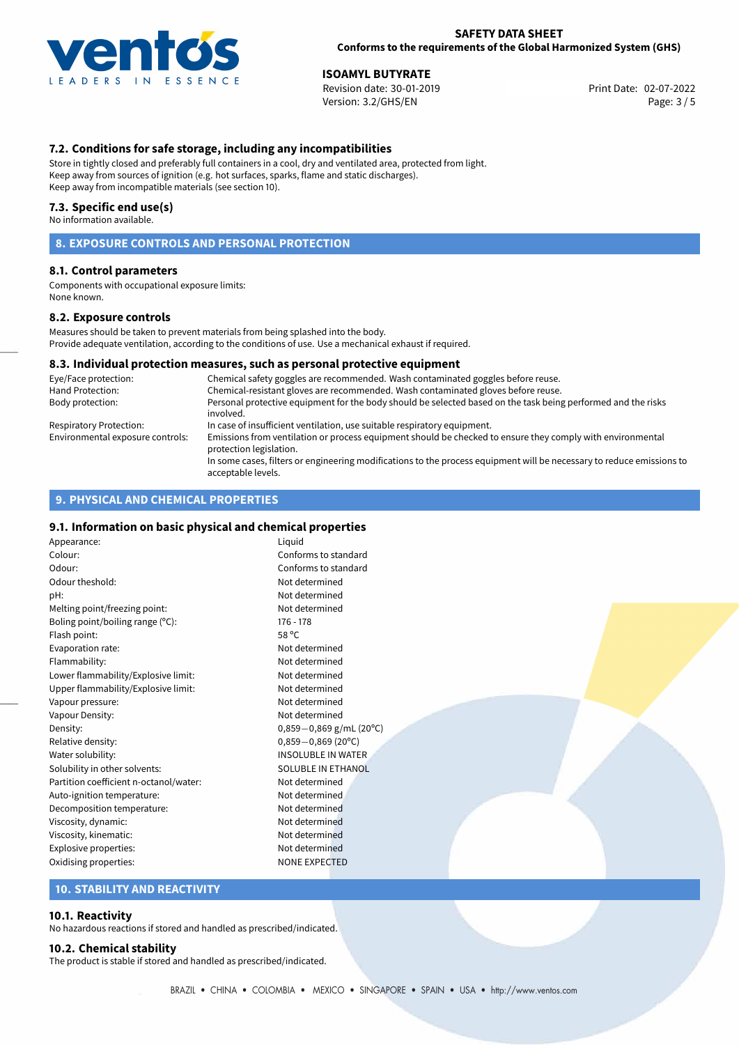

02-07-2022 **ISOAMYL BUTYRATE** Revision date: 30-01-2019 Print Date: Version: 3.2/GHS/EN Page: 3 / 5

## **7.2. Conditions for safe storage, including any incompatibilities**

Store in tightly closed and preferably full containers in a cool, dry and ventilated area, protected from light. Keep away from sources of ignition (e.g. hot surfaces, sparks, flame and static discharges). Keep away from incompatible materials (see section 10).

#### **7.3. Specific end use(s)**

No information available.

## **8. EXPOSURE CONTROLS AND PERSONAL PROTECTION**

### **8.1. Control parameters**

Components with occupational exposure limits: None known.

#### **8.2. Exposure controls**

Measures should be taken to prevent materials from being splashed into the body. Provide adequate ventilation, according to the conditions of use. Use a mechanical exhaust if required.

### **8.3. Individual protection measures, such as personal protective equipment**

| Eye/Face protection:             | Chemical safety goggles are recommended. Wash contaminated goggles before reuse.                                                            |
|----------------------------------|---------------------------------------------------------------------------------------------------------------------------------------------|
| Hand Protection:                 | Chemical-resistant gloves are recommended. Wash contaminated gloves before reuse.                                                           |
| Body protection:                 | Personal protective equipment for the body should be selected based on the task being performed and the risks<br>involved.                  |
| Respiratory Protection:          | In case of insufficient ventilation, use suitable respiratory equipment.                                                                    |
| Environmental exposure controls: | Emissions from ventilation or process equipment should be checked to ensure they comply with environmental<br>protection legislation.       |
|                                  | In some cases, filters or engineering modifications to the process equipment will be necessary to reduce emissions to<br>acceptable levels. |

## **9. PHYSICAL AND CHEMICAL PROPERTIES**

#### **9.1. Information on basic physical and chemical properties**

Appearance: Liquid Colour: Conforms to standard Odour: Conforms to standard Odour theshold: Not determined pH: Not determined Melting point/freezing point: Not determined Boling point/boiling range (°C): 176 - 178 Flash point: 58 ºC Evaporation rate: Not determined Flammability: Not determined Lower flammability/Explosive limit: Not determined Upper flammability/Explosive limit: Not determined Vapour pressure: Vapour pressure: Vapour Density: Not determined Density: 0,859−0,869 g/mL (20°C)<br>Relative density: 0.859−0,869 (20°C) Relative density: 0,859−0,869 (20<sup>o</sup>C)<br>Water solubility: 0,859−0,869 (20<sup>o</sup>C) Solubility in other solvents: SOLUBLE IN ETHANOL Partition coefficient n-octanol/water: Not determined Auto-ignition temperature: Not determined Decomposition temperature: Not determined Viscosity, dynamic: Not determined Viscosity, kinematic: Not determined Explosive properties: Not determined Oxidising properties:  $\blacksquare$ 

**INSOLUBLE IN WATER** 

### **10. STABILITY AND REACTIVITY**

#### **10.1. Reactivity**

No hazardous reactions if stored and handled as prescribed/indicated.

## **10.2. Chemical stability**

The product is stable if stored and handled as prescribed/indicated.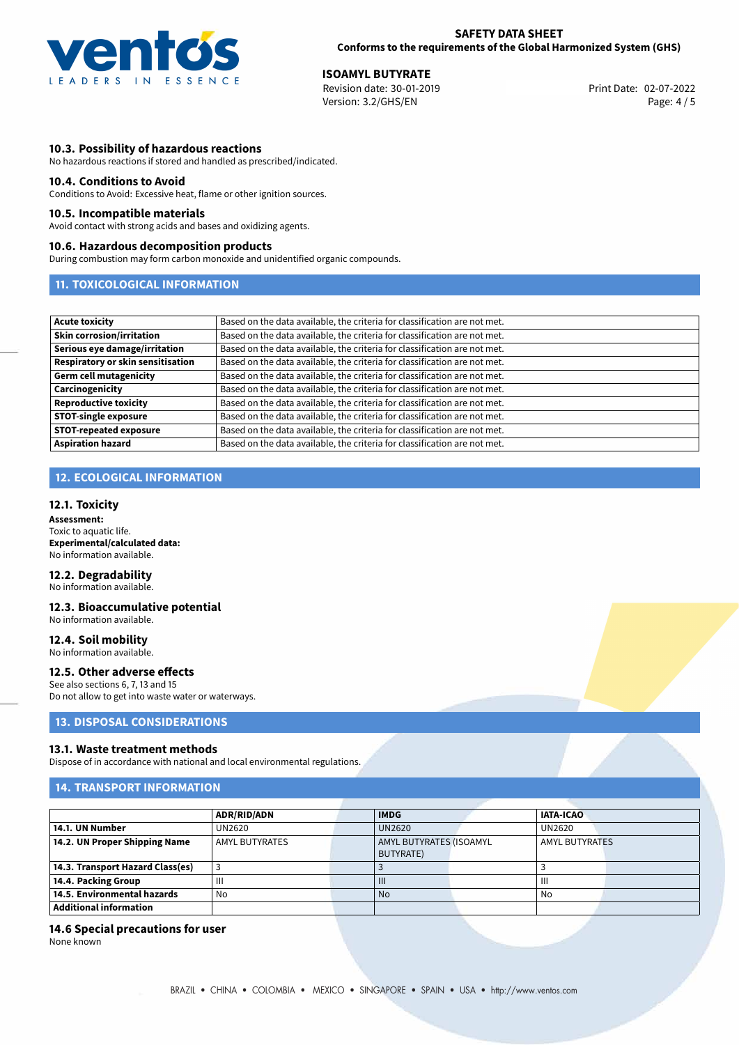

02-07-2022 **ISOAMYL BUTYRATE** Revision date: 30-01-2019 Print Date: Version: 3.2/GHS/EN Page: 4 / 5

## **10.3. Possibility of hazardous reactions**

No hazardous reactions if stored and handled as prescribed/indicated.

#### **10.4. Conditions to Avoid**

Conditions to Avoid: Excessive heat, flame or other ignition sources.

#### **10.5. Incompatible materials**

Avoid contact with strong acids and bases and oxidizing agents.

#### **10.6. Hazardous decomposition products**

During combustion may form carbon monoxide and unidentified organic compounds.

## **11. TOXICOLOGICAL INFORMATION**

| <b>Acute toxicity</b>             | Based on the data available, the criteria for classification are not met. |
|-----------------------------------|---------------------------------------------------------------------------|
| <b>Skin corrosion/irritation</b>  | Based on the data available, the criteria for classification are not met. |
| Serious eye damage/irritation     | Based on the data available, the criteria for classification are not met. |
| Respiratory or skin sensitisation | Based on the data available, the criteria for classification are not met. |
| Germ cell mutagenicity            | Based on the data available, the criteria for classification are not met. |
| <b>Carcinogenicity</b>            | Based on the data available, the criteria for classification are not met. |
| Reproductive toxicity             | Based on the data available, the criteria for classification are not met. |
| <b>STOT-single exposure</b>       | Based on the data available, the criteria for classification are not met. |
| STOT-repeated exposure            | Based on the data available, the criteria for classification are not met. |
| <b>Aspiration hazard</b>          | Based on the data available, the criteria for classification are not met. |

## **12. ECOLOGICAL INFORMATION**

#### **12.1. Toxicity**

**Assessment:** Toxic to aquatic life. **Experimental/calculated data:** No information available.

## **12.2. Degradability**

No information available.

#### **12.3. Bioaccumulative potential** No information available.

**12.4. Soil mobility**

No information available.

### **12.5. Other adverse effects**

See also sections 6, 7, 13 and 15 Do not allow to get into waste water or waterways.

## **13. DISPOSAL CONSIDERATIONS**

#### **13.1. Waste treatment methods**

Dispose of in accordance with national and local environmental regulations.

## **14. TRANSPORT INFORMATION**

|                                  | ADR/RID/ADN           | <b>IMDG</b>             | <b>IATA-ICAO</b>      |  |  |
|----------------------------------|-----------------------|-------------------------|-----------------------|--|--|
| 14.1. UN Number                  | UN2620                | UN2620                  | UN2620                |  |  |
| 14.2. UN Proper Shipping Name    | <b>AMYL BUTYRATES</b> | AMYL BUTYRATES (ISOAMYL | <b>AMYL BUTYRATES</b> |  |  |
|                                  |                       | <b>BUTYRATE)</b>        |                       |  |  |
| 14.3. Transport Hazard Class(es) |                       |                         |                       |  |  |
| 14.4. Packing Group              | Ш                     | $\mathbf{III}$          | Ш                     |  |  |
| 14.5. Environmental hazards      | No                    | <b>No</b>               | No                    |  |  |
| Additional information           |                       |                         |                       |  |  |

#### **14.6 Special precautions for user**

None known